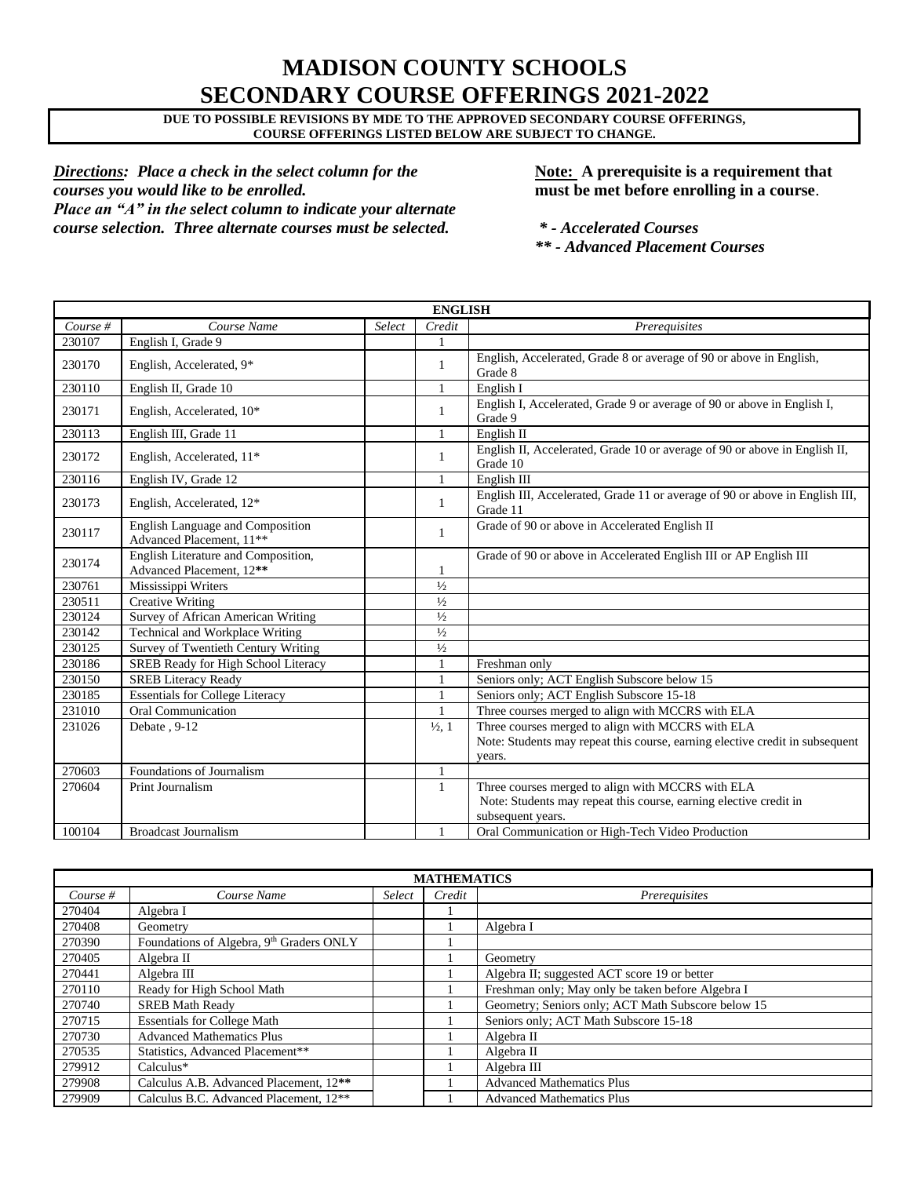## **MADISON COUNTY SCHOOLS SECONDARY COURSE OFFERINGS 2021-2022**

**DUE TO POSSIBLE REVISIONS BY MDE TO THE APPROVED SECONDARY COURSE OFFERINGS, COURSE OFFERINGS LISTED BELOW ARE SUBJECT TO CHANGE.**

*Directions: Place a check in the select column for the* **Note:** A prerequisite is a requirement that *courses you would like to be enrolled.* **must be met before enrolling in a course**. *Place an "A" in the select column to indicate your alternate course selection. Three alternate courses must be selected. \* - Accelerated Courses*

*\*\* - Advanced Placement Courses*

| <b>ENGLISH</b> |                                                                 |        |                   |                                                                                                                                             |  |  |  |
|----------------|-----------------------------------------------------------------|--------|-------------------|---------------------------------------------------------------------------------------------------------------------------------------------|--|--|--|
| Course $#$     | Course Name                                                     | Select | Credit            | Prerequisites                                                                                                                               |  |  |  |
| 230107         | English I, Grade 9                                              |        | 1                 |                                                                                                                                             |  |  |  |
| 230170         | English, Accelerated, 9*                                        |        | $\mathbf{1}$      | English, Accelerated, Grade 8 or average of 90 or above in English,<br>Grade 8                                                              |  |  |  |
| 230110         | English II, Grade 10                                            |        | 1                 | English I                                                                                                                                   |  |  |  |
| 230171         | English, Accelerated, 10*                                       |        | 1                 | English I, Accelerated, Grade 9 or average of 90 or above in English I,<br>Grade 9                                                          |  |  |  |
| 230113         | English III, Grade 11                                           |        | $\mathbf{1}$      | English II                                                                                                                                  |  |  |  |
| 230172         | English, Accelerated, 11*                                       |        | $\mathbf{1}$      | English II, Accelerated, Grade 10 or average of 90 or above in English II,<br>Grade 10                                                      |  |  |  |
| 230116         | English IV, Grade 12                                            |        | $\mathbf{1}$      | English III                                                                                                                                 |  |  |  |
| 230173         | English, Accelerated, 12*                                       |        | $\mathbf{1}$      | English III, Accelerated, Grade 11 or average of 90 or above in English III,<br>Grade 11                                                    |  |  |  |
| 230117         | English Language and Composition<br>Advanced Placement, 11**    |        | $\mathbf{1}$      | Grade of 90 or above in Accelerated English II                                                                                              |  |  |  |
| 230174         | English Literature and Composition,<br>Advanced Placement, 12** |        | 1                 | Grade of 90 or above in Accelerated English III or AP English III                                                                           |  |  |  |
| 230761         | Mississippi Writers                                             |        | $1/2$             |                                                                                                                                             |  |  |  |
| 230511         | <b>Creative Writing</b>                                         |        | $\frac{1}{2}$     |                                                                                                                                             |  |  |  |
| 230124         | Survey of African American Writing                              |        | $1/2$             |                                                                                                                                             |  |  |  |
| 230142         | Technical and Workplace Writing                                 |        | $1/2$             |                                                                                                                                             |  |  |  |
| 230125         | Survey of Twentieth Century Writing                             |        | $1/2$             |                                                                                                                                             |  |  |  |
| 230186         | SREB Ready for High School Literacy                             |        |                   | Freshman only                                                                                                                               |  |  |  |
| 230150         | <b>SREB Literacy Ready</b>                                      |        | $\mathbf{1}$      | Seniors only; ACT English Subscore below 15                                                                                                 |  |  |  |
| 230185         | <b>Essentials for College Literacy</b>                          |        |                   | Seniors only: ACT English Subscore 15-18                                                                                                    |  |  |  |
| 231010         | <b>Oral Communication</b>                                       |        |                   | Three courses merged to align with MCCRS with ELA                                                                                           |  |  |  |
| 231026         | Debate, 9-12                                                    |        | $\frac{1}{2}$ , 1 | Three courses merged to align with MCCRS with ELA                                                                                           |  |  |  |
|                |                                                                 |        |                   | Note: Students may repeat this course, earning elective credit in subsequent<br>years.                                                      |  |  |  |
| 270603         | Foundations of Journalism                                       |        | $\mathbf{1}$      |                                                                                                                                             |  |  |  |
| 270604         | Print Journalism                                                |        | $\mathbf{1}$      | Three courses merged to align with MCCRS with ELA<br>Note: Students may repeat this course, earning elective credit in<br>subsequent years. |  |  |  |
| 100104         | <b>Broadcast Journalism</b>                                     |        | $\mathbf{1}$      | Oral Communication or High-Tech Video Production                                                                                            |  |  |  |

| <b>MATHEMATICS</b> |                                                    |        |        |                                                    |  |  |  |
|--------------------|----------------------------------------------------|--------|--------|----------------------------------------------------|--|--|--|
| Course $#$         | Course Name                                        | Select | Credit | Prerequisites                                      |  |  |  |
| 270404             | Algebra I                                          |        |        |                                                    |  |  |  |
| 270408             | Geometry                                           |        |        | Algebra I                                          |  |  |  |
| 270390             | Foundations of Algebra, 9th Graders ONLY           |        |        |                                                    |  |  |  |
| 270405             | Algebra II                                         |        |        | Geometry                                           |  |  |  |
| 270441             | Algebra III                                        |        |        | Algebra II; suggested ACT score 19 or better       |  |  |  |
| 270110             | Ready for High School Math                         |        |        | Freshman only; May only be taken before Algebra I  |  |  |  |
| 270740             | <b>SREB Math Ready</b>                             |        |        | Geometry; Seniors only; ACT Math Subscore below 15 |  |  |  |
| 270715             | <b>Essentials for College Math</b>                 |        |        | Seniors only; ACT Math Subscore 15-18              |  |  |  |
| 270730             | <b>Advanced Mathematics Plus</b>                   |        |        | Algebra II                                         |  |  |  |
| 270535             | Statistics. Advanced Placement**                   |        |        | Algebra II                                         |  |  |  |
| 279912             | $Calculus*$                                        |        |        | Algebra III                                        |  |  |  |
| 279908             | Calculus A.B. Advanced Placement, 12 <sup>**</sup> |        |        | <b>Advanced Mathematics Plus</b>                   |  |  |  |
| 279909             | Calculus B.C. Advanced Placement, 12 <sup>**</sup> |        |        | <b>Advanced Mathematics Plus</b>                   |  |  |  |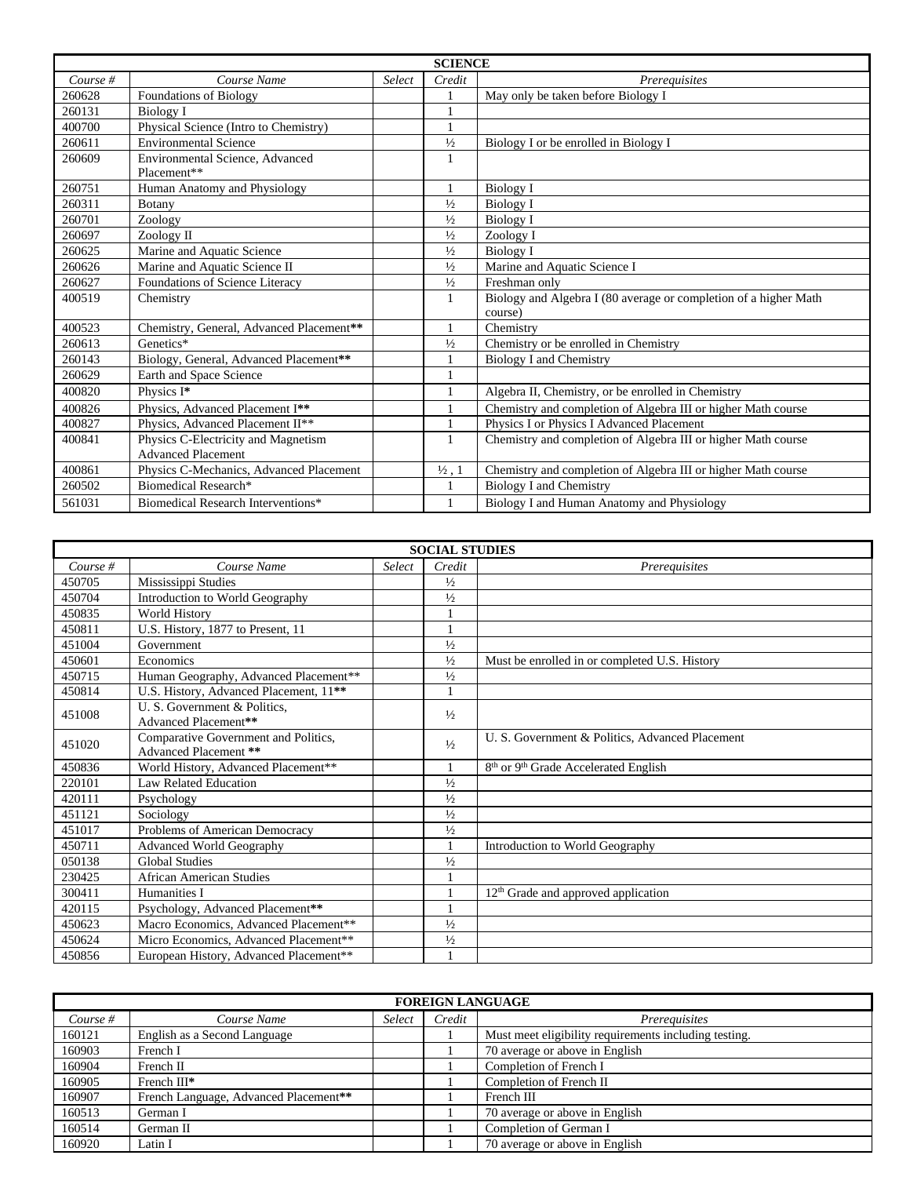|            | <b>SCIENCE</b>                                                   |        |                   |                                                                  |  |  |  |
|------------|------------------------------------------------------------------|--------|-------------------|------------------------------------------------------------------|--|--|--|
| Course $#$ | Course Name                                                      | Select | Credit            | Prerequisites                                                    |  |  |  |
| 260628     | <b>Foundations of Biology</b>                                    |        |                   | May only be taken before Biology I                               |  |  |  |
| 260131     | <b>Biology I</b>                                                 |        |                   |                                                                  |  |  |  |
| 400700     | Physical Science (Intro to Chemistry)                            |        |                   |                                                                  |  |  |  |
| 260611     | <b>Environmental Science</b>                                     |        | $1/2$             | Biology I or be enrolled in Biology I                            |  |  |  |
| 260609     | Environmental Science, Advanced<br>Placement**                   |        | 1                 |                                                                  |  |  |  |
| 260751     | Human Anatomy and Physiology                                     |        | 1                 | Biology I                                                        |  |  |  |
| 260311     | Botany                                                           |        | $\frac{1}{2}$     | <b>Biology I</b>                                                 |  |  |  |
| 260701     | Zoology                                                          |        | $\frac{1}{2}$     | <b>Biology I</b>                                                 |  |  |  |
| 260697     | Zoology II                                                       |        | $\frac{1}{2}$     | Zoology I                                                        |  |  |  |
| 260625     | Marine and Aquatic Science                                       |        | $1/2$             | <b>Biology I</b>                                                 |  |  |  |
| 260626     | Marine and Aquatic Science II                                    |        | $\frac{1}{2}$     | Marine and Aquatic Science I                                     |  |  |  |
| 260627     | Foundations of Science Literacy                                  |        | $\frac{1}{2}$     | Freshman only                                                    |  |  |  |
| 400519     | Chemistry                                                        |        | 1                 | Biology and Algebra I (80 average or completion of a higher Math |  |  |  |
|            |                                                                  |        |                   | course)                                                          |  |  |  |
| 400523     | Chemistry, General, Advanced Placement**                         |        | $\mathbf{1}$      | Chemistry                                                        |  |  |  |
| 260613     | Genetics*                                                        |        | $\frac{1}{2}$     | Chemistry or be enrolled in Chemistry                            |  |  |  |
| 260143     | Biology, General, Advanced Placement**                           |        |                   | Biology I and Chemistry                                          |  |  |  |
| 260629     | Earth and Space Science                                          |        |                   |                                                                  |  |  |  |
| 400820     | Physics I*                                                       |        | $\mathbf{1}$      | Algebra II, Chemistry, or be enrolled in Chemistry               |  |  |  |
| 400826     | Physics, Advanced Placement I**                                  |        | $\mathbf{1}$      | Chemistry and completion of Algebra III or higher Math course    |  |  |  |
| 400827     | Physics, Advanced Placement II**                                 |        | 1                 | Physics I or Physics I Advanced Placement                        |  |  |  |
| 400841     | Physics C-Electricity and Magnetism<br><b>Advanced Placement</b> |        | 1                 | Chemistry and completion of Algebra III or higher Math course    |  |  |  |
|            |                                                                  |        |                   |                                                                  |  |  |  |
| 400861     | Physics C-Mechanics, Advanced Placement                          |        | $\frac{1}{2}$ , 1 | Chemistry and completion of Algebra III or higher Math course    |  |  |  |
| 260502     | Biomedical Research*                                             |        | 1                 | <b>Biology I and Chemistry</b>                                   |  |  |  |
| 561031     | Biomedical Research Interventions*                               |        |                   | Biology I and Human Anatomy and Physiology                       |  |  |  |

| <b>SOCIAL STUDIES</b> |                                                               |        |               |                                                              |  |  |
|-----------------------|---------------------------------------------------------------|--------|---------------|--------------------------------------------------------------|--|--|
| Course $#$            | Course Name                                                   | Select | Credit        | <i>Prerequisites</i>                                         |  |  |
| 450705                | Mississippi Studies                                           |        | $\frac{1}{2}$ |                                                              |  |  |
| 450704                | Introduction to World Geography                               |        | $\frac{1}{2}$ |                                                              |  |  |
| 450835                | <b>World History</b>                                          |        | 1             |                                                              |  |  |
| 450811                | U.S. History, 1877 to Present, 11                             |        | 1             |                                                              |  |  |
| 451004                | Government                                                    |        | $\frac{1}{2}$ |                                                              |  |  |
| 450601                | Economics                                                     |        | $\frac{1}{2}$ | Must be enrolled in or completed U.S. History                |  |  |
| 450715                | Human Geography, Advanced Placement**                         |        | $\frac{1}{2}$ |                                                              |  |  |
| 450814                | U.S. History, Advanced Placement, 11 <sup>**</sup>            |        | 1             |                                                              |  |  |
| 451008                | U. S. Government & Politics.<br>Advanced Placement**          |        | $\frac{1}{2}$ |                                                              |  |  |
| 451020                | Comparative Government and Politics,<br>Advanced Placement ** |        | $\frac{1}{2}$ | U. S. Government & Politics, Advanced Placement              |  |  |
| 450836                | World History, Advanced Placement**                           |        | 1             | 8 <sup>th</sup> or 9 <sup>th</sup> Grade Accelerated English |  |  |
| 220101                | Law Related Education                                         |        | $\frac{1}{2}$ |                                                              |  |  |
| 420111                | Psychology                                                    |        | $\frac{1}{2}$ |                                                              |  |  |
| 451121                | Sociology                                                     |        | $\frac{1}{2}$ |                                                              |  |  |
| 451017                | Problems of American Democracy                                |        | $\frac{1}{2}$ |                                                              |  |  |
| 450711                | <b>Advanced World Geography</b>                               |        | $\mathbf{1}$  | Introduction to World Geography                              |  |  |
| 050138                | <b>Global Studies</b>                                         |        | $\frac{1}{2}$ |                                                              |  |  |
| 230425                | <b>African American Studies</b>                               |        |               |                                                              |  |  |
| 300411                | Humanities I                                                  |        | 1             | $12th$ Grade and approved application                        |  |  |
| 420115                | Psychology, Advanced Placement**                              |        | 1             |                                                              |  |  |
| 450623                | Macro Economics, Advanced Placement**                         |        | $\frac{1}{2}$ |                                                              |  |  |
| 450624                | Micro Economics, Advanced Placement**                         |        | $\frac{1}{2}$ |                                                              |  |  |
| 450856                | European History, Advanced Placement**                        |        | 1             |                                                              |  |  |

| <b>FOREIGN LANGUAGE</b> |                                       |        |        |                                                       |  |  |
|-------------------------|---------------------------------------|--------|--------|-------------------------------------------------------|--|--|
| Course #                | Course Name                           | Select | Credit | Prerequisites                                         |  |  |
| 160121                  | English as a Second Language          |        |        | Must meet eligibility requirements including testing. |  |  |
| 160903                  | French I                              |        |        | 70 average or above in English                        |  |  |
| 160904                  | French II                             |        |        | Completion of French I                                |  |  |
| 160905                  | French III*                           |        |        | Completion of French II                               |  |  |
| 160907                  | French Language, Advanced Placement** |        |        | French III                                            |  |  |
| 160513                  | German I                              |        |        | 70 average or above in English                        |  |  |
| 160514                  | German II                             |        |        | Completion of German I                                |  |  |
| 160920                  | Latin I                               |        |        | 70 average or above in English                        |  |  |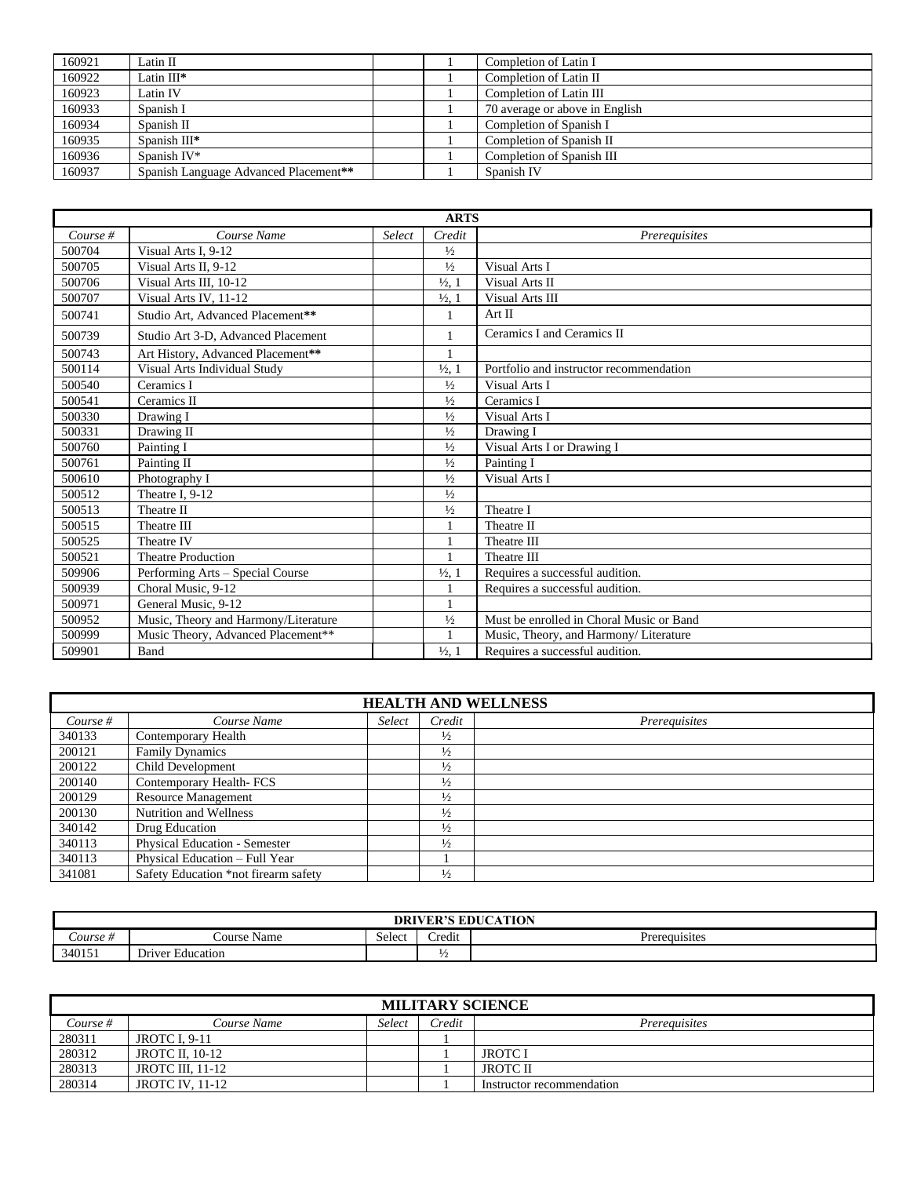| Latin II                              |  | Completion of Latin I          |
|---------------------------------------|--|--------------------------------|
| Latin $III^*$                         |  | Completion of Latin II         |
| Latin IV                              |  | Completion of Latin III        |
| Spanish I                             |  | 70 average or above in English |
| Spanish II                            |  | Completion of Spanish I        |
| Spanish III*                          |  | Completion of Spanish II       |
| Spanish IV*                           |  | Completion of Spanish III      |
| Spanish Language Advanced Placement** |  | Spanish IV                     |
|                                       |  |                                |

|          | <b>ARTS</b>                          |               |                   |                                          |  |  |  |
|----------|--------------------------------------|---------------|-------------------|------------------------------------------|--|--|--|
| Course # | Course Name                          | <b>Select</b> | Credit            | Prerequisites                            |  |  |  |
| 500704   | Visual Arts I, 9-12                  |               | $\frac{1}{2}$     |                                          |  |  |  |
| 500705   | Visual Arts II, 9-12                 |               | $\frac{1}{2}$     | Visual Arts I                            |  |  |  |
| 500706   | Visual Arts III, 10-12               |               | $\frac{1}{2}$ , 1 | Visual Arts II                           |  |  |  |
| 500707   | Visual Arts IV, 11-12                |               | $\frac{1}{2}$ , 1 | Visual Arts III                          |  |  |  |
| 500741   | Studio Art, Advanced Placement**     |               |                   | Art II                                   |  |  |  |
| 500739   | Studio Art 3-D, Advanced Placement   |               | $\mathbf{1}$      | Ceramics I and Ceramics II               |  |  |  |
| 500743   | Art History, Advanced Placement**    |               |                   |                                          |  |  |  |
| 500114   | Visual Arts Individual Study         |               | $\frac{1}{2}$ , 1 | Portfolio and instructor recommendation  |  |  |  |
| 500540   | Ceramics I                           |               | $\frac{1}{2}$     | Visual Arts I                            |  |  |  |
| 500541   | Ceramics II                          |               | $\frac{1}{2}$     | Ceramics I                               |  |  |  |
| 500330   | Drawing I                            |               | $\frac{1}{2}$     | Visual Arts I                            |  |  |  |
| 500331   | Drawing II                           |               | $\frac{1}{2}$     | Drawing I                                |  |  |  |
| 500760   | Painting I                           |               | $\frac{1}{2}$     | Visual Arts I or Drawing I               |  |  |  |
| 500761   | Painting II                          |               | $\frac{1}{2}$     | Painting I                               |  |  |  |
| 500610   | Photography I                        |               | $\frac{1}{2}$     | Visual Arts I                            |  |  |  |
| 500512   | Theatre I, 9-12                      |               | $1/2$             |                                          |  |  |  |
| 500513   | Theatre II                           |               | $\frac{1}{2}$     | Theatre I                                |  |  |  |
| 500515   | Theatre III                          |               |                   | Theatre II                               |  |  |  |
| 500525   | Theatre IV                           |               |                   | Theatre III                              |  |  |  |
| 500521   | <b>Theatre Production</b>            |               | $\mathbf{1}$      | Theatre III                              |  |  |  |
| 509906   | Performing Arts – Special Course     |               | $\frac{1}{2}$ , 1 | Requires a successful audition.          |  |  |  |
| 500939   | Choral Music, 9-12                   |               | $\mathbf{1}$      | Requires a successful audition.          |  |  |  |
| 500971   | General Music, 9-12                  |               |                   |                                          |  |  |  |
| 500952   | Music, Theory and Harmony/Literature |               | $\frac{1}{2}$     | Must be enrolled in Choral Music or Band |  |  |  |
| 500999   | Music Theory, Advanced Placement**   |               | 1                 | Music, Theory, and Harmony/ Literature   |  |  |  |
| 509901   | Band                                 |               | $\frac{1}{2}$ , 1 | Requires a successful audition.          |  |  |  |

| <b>HEALTH AND WELLNESS</b> |                                      |        |               |               |  |
|----------------------------|--------------------------------------|--------|---------------|---------------|--|
| Course $#$                 | Course Name                          | Select | Credit        | Prerequisites |  |
| 340133                     | Contemporary Health                  |        | $\frac{1}{2}$ |               |  |
| 200121                     | <b>Family Dynamics</b>               |        | $\frac{1}{2}$ |               |  |
| 200122                     | Child Development                    |        | $\frac{1}{2}$ |               |  |
| 200140                     | Contemporary Health-FCS              |        | $\frac{1}{2}$ |               |  |
| 200129                     | <b>Resource Management</b>           |        | $\frac{1}{2}$ |               |  |
| 200130                     | Nutrition and Wellness               |        | $\frac{1}{2}$ |               |  |
| 340142                     | Drug Education                       |        | $\frac{1}{2}$ |               |  |
| 340113                     | <b>Physical Education - Semester</b> |        | $\frac{1}{2}$ |               |  |
| 340113                     | Physical Education - Full Year       |        |               |               |  |
| 341081                     | Safety Education *not firearm safety |        | $\frac{1}{2}$ |               |  |

| <b>EDUCATION</b><br><b>DRIVER'S</b> |                                                          |        |                  |               |  |
|-------------------------------------|----------------------------------------------------------|--------|------------------|---------------|--|
| $\angle our$ se #                   | Name<br>_'ourse'                                         | Select | $\cdot$<br>redit | Prerequisites |  |
| 340151                              | $\overline{\phantom{a}}$<br>- -<br>· Education<br>Driver |        | $\frac{1}{2}$    |               |  |

| <b>MILITARY SCIENCE</b> |                        |        |        |                           |  |  |
|-------------------------|------------------------|--------|--------|---------------------------|--|--|
| Course #                | Course Name            | Select | Credit | Prereauisites             |  |  |
| 280311                  | <b>JROTC I. 9-11</b>   |        |        |                           |  |  |
| 280312                  | <b>JROTC II. 10-12</b> |        |        | <b>JROTC I</b>            |  |  |
| 280313                  | JROTC III. 11-12       |        |        | <b>JROTC II</b>           |  |  |
| 280314                  | <b>JROTC IV. 11-12</b> |        |        | Instructor recommendation |  |  |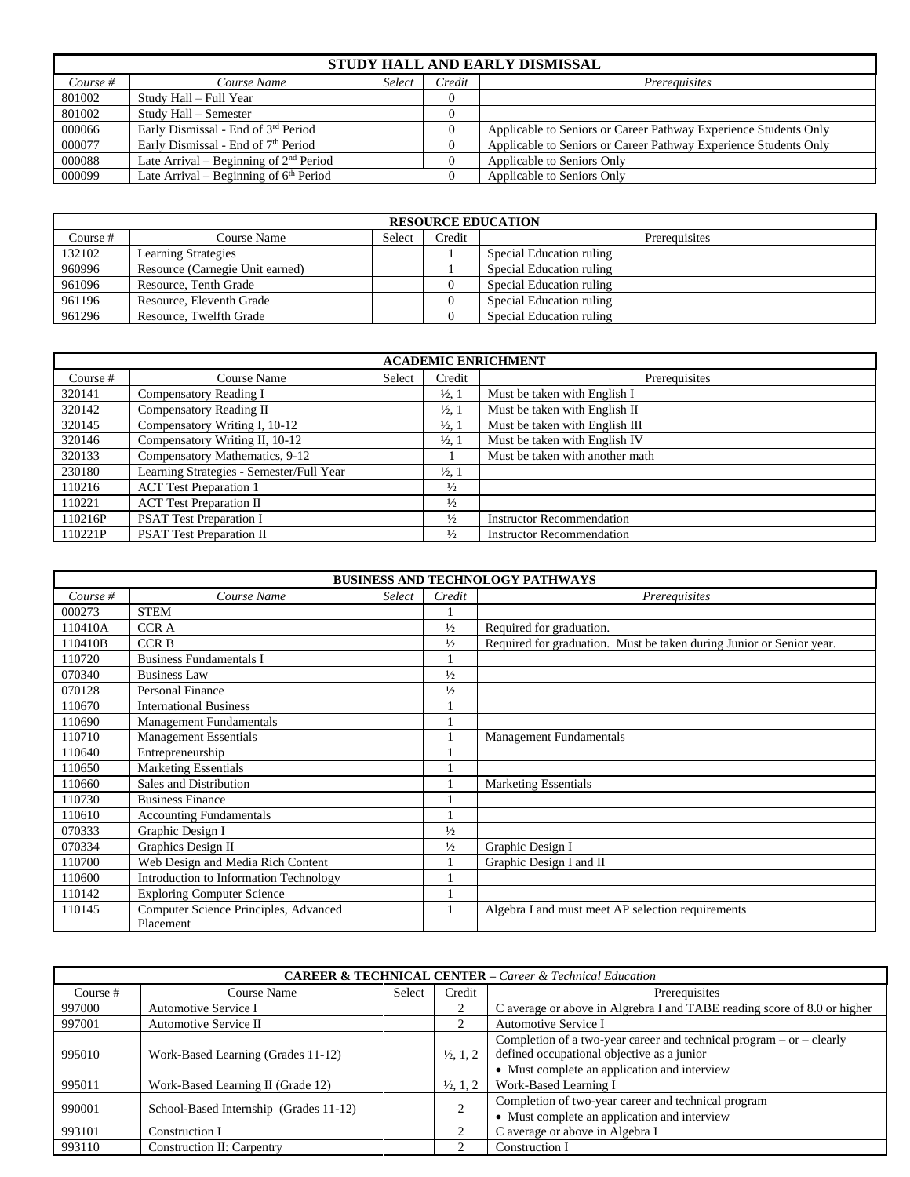| STUDY HALL AND EARLY DISMISSAL |                                          |        |        |                                                                  |  |  |
|--------------------------------|------------------------------------------|--------|--------|------------------------------------------------------------------|--|--|
| Course $#$                     | Course Name                              | Select | Credit | Prerequisites                                                    |  |  |
| 801002                         | Study Hall – Full Year                   |        |        |                                                                  |  |  |
| 801002                         | Study Hall – Semester                    |        |        |                                                                  |  |  |
| 000066                         | Early Dismissal - End of 3rd Period      |        |        | Applicable to Seniors or Career Pathway Experience Students Only |  |  |
| 000077                         | Early Dismissal - End of 7th Period      |        |        | Applicable to Seniors or Career Pathway Experience Students Only |  |  |
| 000088                         | Late Arrival – Beginning of $2nd$ Period |        |        | Applicable to Seniors Only                                       |  |  |
| 000099                         | Late Arrival – Beginning of $6th$ Period |        |        | Applicable to Seniors Only                                       |  |  |

| <b>RESOURCE EDUCATION</b> |                                 |        |          |                          |  |  |
|---------------------------|---------------------------------|--------|----------|--------------------------|--|--|
| Course #                  | Course Name                     | Select | Credit   | Prerequisites            |  |  |
| 132102                    | <b>Learning Strategies</b>      |        |          | Special Education ruling |  |  |
| 960996                    | Resource (Carnegie Unit earned) |        |          | Special Education ruling |  |  |
| 961096                    | Resource, Tenth Grade           |        |          | Special Education ruling |  |  |
| 961196                    | Resource, Eleventh Grade        |        |          | Special Education ruling |  |  |
| 961296                    | Resource, Twelfth Grade         |        | $\Omega$ | Special Education ruling |  |  |

| <b>ACADEMIC ENRICHMENT</b> |                                          |        |                   |                                  |
|----------------------------|------------------------------------------|--------|-------------------|----------------------------------|
| Course $#$                 | Course Name                              | Select | Credit            | Prerequisites                    |
| 320141                     | Compensatory Reading I                   |        | $\frac{1}{2}$ , 1 | Must be taken with English I     |
| 320142                     | Compensatory Reading II                  |        | $\frac{1}{2}$ , 1 | Must be taken with English II    |
| 320145                     | Compensatory Writing I, 10-12            |        | $\frac{1}{2}$ , 1 | Must be taken with English III   |
| 320146                     | Compensatory Writing II, 10-12           |        | $\frac{1}{2}$ , 1 | Must be taken with English IV    |
| 320133                     | Compensatory Mathematics, 9-12           |        |                   | Must be taken with another math  |
| 230180                     | Learning Strategies - Semester/Full Year |        | $\frac{1}{2}$ , 1 |                                  |
| 110216                     | <b>ACT</b> Test Preparation 1            |        | $\frac{1}{2}$     |                                  |
| 110221                     | <b>ACT Test Preparation II</b>           |        | $\frac{1}{2}$     |                                  |
| 110216P                    | <b>PSAT Test Preparation I</b>           |        | $\frac{1}{2}$     | <b>Instructor Recommendation</b> |
| 110221P                    | <b>PSAT Test Preparation II</b>          |        | $\frac{1}{2}$     | <b>Instructor Recommendation</b> |

| <b>BUSINESS AND TECHNOLOGY PATHWAYS</b> |                                                    |        |               |                                                                      |
|-----------------------------------------|----------------------------------------------------|--------|---------------|----------------------------------------------------------------------|
| $Course \#$                             | Course Name                                        | Select | Credit        | Prerequisites                                                        |
| 000273                                  | <b>STEM</b>                                        |        |               |                                                                      |
| 110410A                                 | <b>CCRA</b>                                        |        | $\frac{1}{2}$ | Required for graduation.                                             |
| 110410B                                 | <b>CCRB</b>                                        |        | $\frac{1}{2}$ | Required for graduation. Must be taken during Junior or Senior year. |
| 110720                                  | <b>Business Fundamentals I</b>                     |        |               |                                                                      |
| 070340                                  | <b>Business Law</b>                                |        | $\frac{1}{2}$ |                                                                      |
| 070128                                  | <b>Personal Finance</b>                            |        | $\frac{1}{2}$ |                                                                      |
| 110670                                  | <b>International Business</b>                      |        |               |                                                                      |
| 110690                                  | <b>Management Fundamentals</b>                     |        |               |                                                                      |
| 110710                                  | <b>Management Essentials</b>                       |        |               | <b>Management Fundamentals</b>                                       |
| 110640                                  | Entrepreneurship                                   |        |               |                                                                      |
| 110650                                  | <b>Marketing Essentials</b>                        |        |               |                                                                      |
| 110660                                  | Sales and Distribution                             |        |               | <b>Marketing Essentials</b>                                          |
| 110730                                  | <b>Business Finance</b>                            |        |               |                                                                      |
| 110610                                  | <b>Accounting Fundamentals</b>                     |        |               |                                                                      |
| 070333                                  | Graphic Design I                                   |        | $\frac{1}{2}$ |                                                                      |
| 070334                                  | Graphics Design II                                 |        | $\frac{1}{2}$ | Graphic Design I                                                     |
| 110700                                  | Web Design and Media Rich Content                  |        |               | Graphic Design I and II                                              |
| 110600                                  | Introduction to Information Technology             |        |               |                                                                      |
| 110142                                  | <b>Exploring Computer Science</b>                  |        |               |                                                                      |
| 110145                                  | Computer Science Principles, Advanced<br>Placement |        |               | Algebra I and must meet AP selection requirements                    |

| <b>CAREER &amp; TECHNICAL CENTER - Career &amp; Technical Education</b> |                                        |        |                      |                                                                                                                        |  |
|-------------------------------------------------------------------------|----------------------------------------|--------|----------------------|------------------------------------------------------------------------------------------------------------------------|--|
| Course $#$                                                              | Course Name                            | Select | Credit               | Prerequisites                                                                                                          |  |
| 997000                                                                  | Automotive Service I                   |        | ◠                    | C average or above in Algrebra I and TABE reading score of 8.0 or higher                                               |  |
| 997001                                                                  | Automotive Service II                  |        |                      | Automotive Service I                                                                                                   |  |
| 995010                                                                  | Work-Based Learning (Grades 11-12)     |        | $\frac{1}{2}$ , 1, 2 | Completion of a two-year career and technical program $-$ or $-$ clearly<br>defined occupational objective as a junior |  |
|                                                                         |                                        |        |                      | • Must complete an application and interview                                                                           |  |
| 995011                                                                  | Work-Based Learning II (Grade 12)      |        | $\frac{1}{2}$ , 1, 2 | Work-Based Learning I                                                                                                  |  |
| 990001                                                                  | School-Based Internship (Grades 11-12) |        | $\bigcap$            | Completion of two-year career and technical program                                                                    |  |
|                                                                         |                                        |        |                      | • Must complete an application and interview                                                                           |  |
| 993101                                                                  | Construction I                         |        |                      | C average or above in Algebra I                                                                                        |  |
| 993110                                                                  | Construction II: Carpentry             |        |                      | Construction I                                                                                                         |  |